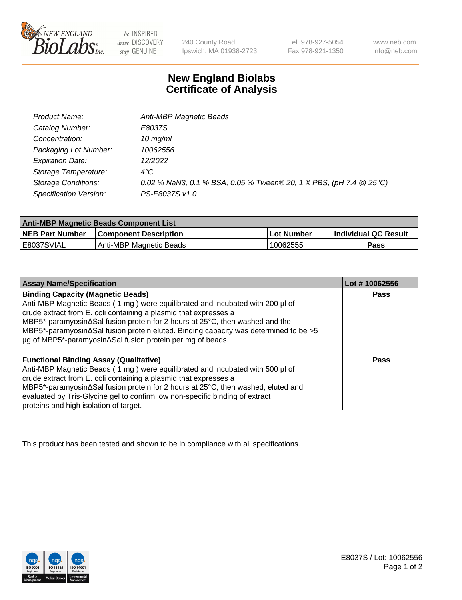

 $be$  INSPIRED drive DISCOVERY stay GENUINE

240 County Road Ipswich, MA 01938-2723 Tel 978-927-5054 Fax 978-921-1350

www.neb.com info@neb.com

## **New England Biolabs Certificate of Analysis**

| Product Name:              | Anti-MBP Magnetic Beads                                            |
|----------------------------|--------------------------------------------------------------------|
| Catalog Number:            | E8037S                                                             |
| Concentration:             | $10$ mg/ml                                                         |
| Packaging Lot Number:      | 10062556                                                           |
| <b>Expiration Date:</b>    | 12/2022                                                            |
| Storage Temperature:       | $4^{\circ}$ C                                                      |
| <b>Storage Conditions:</b> | 0.02 % NaN3, 0.1 % BSA, 0.05 % Tween® 20, 1 X PBS, (pH 7.4 @ 25°C) |
| Specification Version:     | PS-E8037S v1.0                                                     |

| <b>Anti-MBP Magnetic Beads Component List</b> |                              |            |                      |  |
|-----------------------------------------------|------------------------------|------------|----------------------|--|
| <b>NEB Part Number</b>                        | <b>Component Description</b> | Lot Number | Individual QC Result |  |
| IE8037SVIAL                                   | Anti-MBP Magnetic Beads      | 10062555   | Pass                 |  |

| <b>Assay Name/Specification</b>                                                      | Lot #10062556 |
|--------------------------------------------------------------------------------------|---------------|
| <b>Binding Capacity (Magnetic Beads)</b>                                             | <b>Pass</b>   |
| Anti-MBP Magnetic Beads (1 mg) were equilibrated and incubated with 200 µl of        |               |
| crude extract from E. coli containing a plasmid that expresses a                     |               |
| MBP5*-paramyosin∆Sal fusion protein for 2 hours at 25°C, then washed and the         |               |
| MBP5*-paramyosin∆Sal fusion protein eluted. Binding capacity was determined to be >5 |               |
| µg of MBP5*-paramyosin∆Sal fusion protein per mg of beads.                           |               |
| <b>Functional Binding Assay (Qualitative)</b>                                        | Pass          |
| Anti-MBP Magnetic Beads (1 mg) were equilibrated and incubated with 500 µl of        |               |
| crude extract from E. coli containing a plasmid that expresses a                     |               |
| MBP5*-paramyosin∆Sal fusion protein for 2 hours at 25°C, then washed, eluted and     |               |
| evaluated by Tris-Glycine gel to confirm low non-specific binding of extract         |               |
| proteins and high isolation of target.                                               |               |

This product has been tested and shown to be in compliance with all specifications.